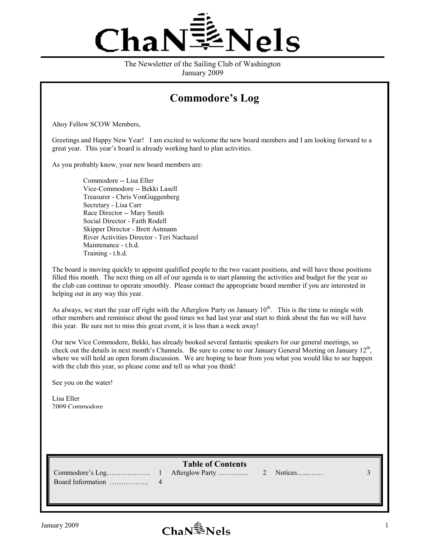

The Newsletter of the Sailing Club of Washington January 2009

## **Commodore's Log**

Ahoy Fellow SCOW Members,

Greetings and Happy New Year! I am excited to welcome the new board members and I am looking forward to a great year. This year's board is already working hard to plan activities.

As you probably know, your new board members are:

 Commodore -- Lisa Eller Vice-Commodore -- Bekki Lasell Treasurer - Chris VonGuggenberg Secretary - Lisa Carr Race Director -- Mary Smith Social Director - Faith Rodell Skipper Director - Brett Astmann River Activities Director - Teri Nachazel Maintenance - t.b.d. Training - t.b.d.

The board is moving quickly to appoint qualified people to the two vacant positions, and will have those positions filled this month. The next thing on all of our agenda is to start planning the activities and budget for the year so the club can continue to operate smoothly. Please contact the appropriate board member if you are interested in helping out in any way this year.

As always, we start the year off right with the Afterglow Party on January  $10^{th}$ . This is the time to mingle with other members and reminisce about the good times we had last year and start to think about the fun we will have this year. Be sure not to miss this great event, it is less than a week away!

Our new Vice Commodore, Bekki, has already booked several fantastic speakers for our general meetings, so check out the details in next month's Channels. Be sure to come to our January General Meeting on January 12<sup>th</sup>, where we will hold an open forum discussion. We are hoping to hear from you what you would like to see happen with the club this year, so please come and tell us what you think!

See you on the water!

Lisa Eller 2009 Commodore

**Table of Contents** 

Commodore's Log………………. 1 Afterglow Party …………. 2 Notices…...…… 3 Board Information …………….. 4

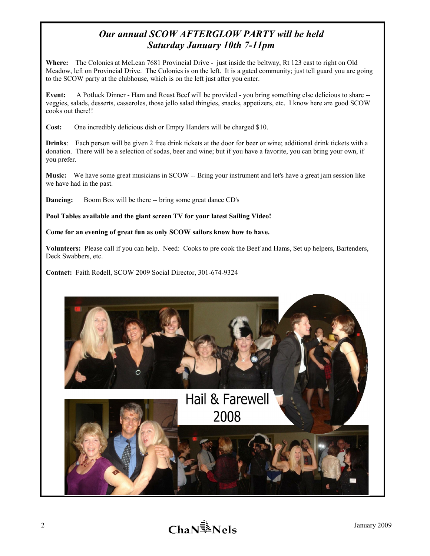## *Our annual SCOW AFTERGLOW PARTY will be held Saturday January 10th 7-11pm*

**Where:** The Colonies at McLean 7681 Provincial Drive - just inside the beltway, Rt 123 east to right on Old Meadow, left on Provincial Drive. The Colonies is on the left. It is a gated community; just tell guard you are going to the SCOW party at the clubhouse, which is on the left just after you enter.

**Event:** A Potluck Dinner - Ham and Roast Beef will be provided - you bring something else delicious to share - veggies, salads, desserts, casseroles, those jello salad thingies, snacks, appetizers, etc. I know here are good SCOW cooks out there!!

**Cost:** One incredibly delicious dish or Empty Handers will be charged \$10.

**Drinks**: Each person will be given 2 free drink tickets at the door for beer or wine; additional drink tickets with a donation. There will be a selection of sodas, beer and wine; but if you have a favorite, you can bring your own, if you prefer.

**Music:** We have some great musicians in SCOW -- Bring your instrument and let's have a great jam session like we have had in the past.

**Dancing:** Boom Box will be there -- bring some great dance CD's

**Pool Tables available and the giant screen TV for your latest Sailing Video!** 

**Come for an evening of great fun as only SCOW sailors know how to have.** 

**Volunteers:** Please call if you can help. Need: Cooks to pre cook the Beef and Hams, Set up helpers, Bartenders, Deck Swabbers, etc.

**Contact:** Faith Rodell, SCOW 2009 Social Director, 301-674-9324

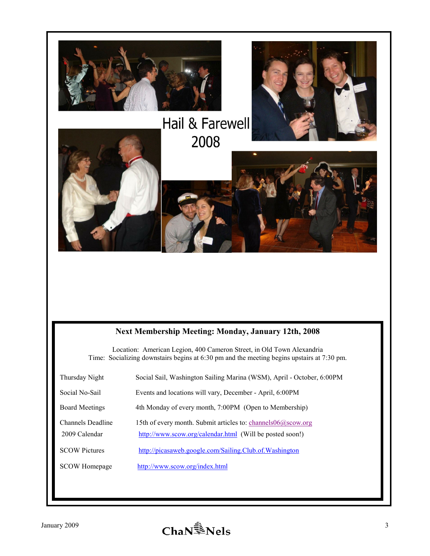

## **&ext Membership Meeting: Monday, January 12th, 2008**

Location: American Legion, 400 Cameron Street, in Old Town Alexandria Time: Socializing downstairs begins at 6:30 pm and the meeting begins upstairs at 7:30 pm.

| Thursday Night                     | Social Sail, Washington Sailing Marina (WSM), April - October, 6:00PM                                                       |
|------------------------------------|-----------------------------------------------------------------------------------------------------------------------------|
| Social No-Sail                     | Events and locations will vary, December - April, 6:00PM                                                                    |
| <b>Board Meetings</b>              | 4th Monday of every month, 7:00PM (Open to Membership)                                                                      |
| Channels Deadline<br>2009 Calendar | 15th of every month. Submit articles to: channels $06@scow.org$<br>http://www.scow.org/calendar.html (Will be posted soon!) |
| <b>SCOW Pictures</b>               | http://picasaweb.google.com/Sailing.Club.of.Washington                                                                      |
| <b>SCOW</b> Homepage               | http://www.scow.org/index.html                                                                                              |